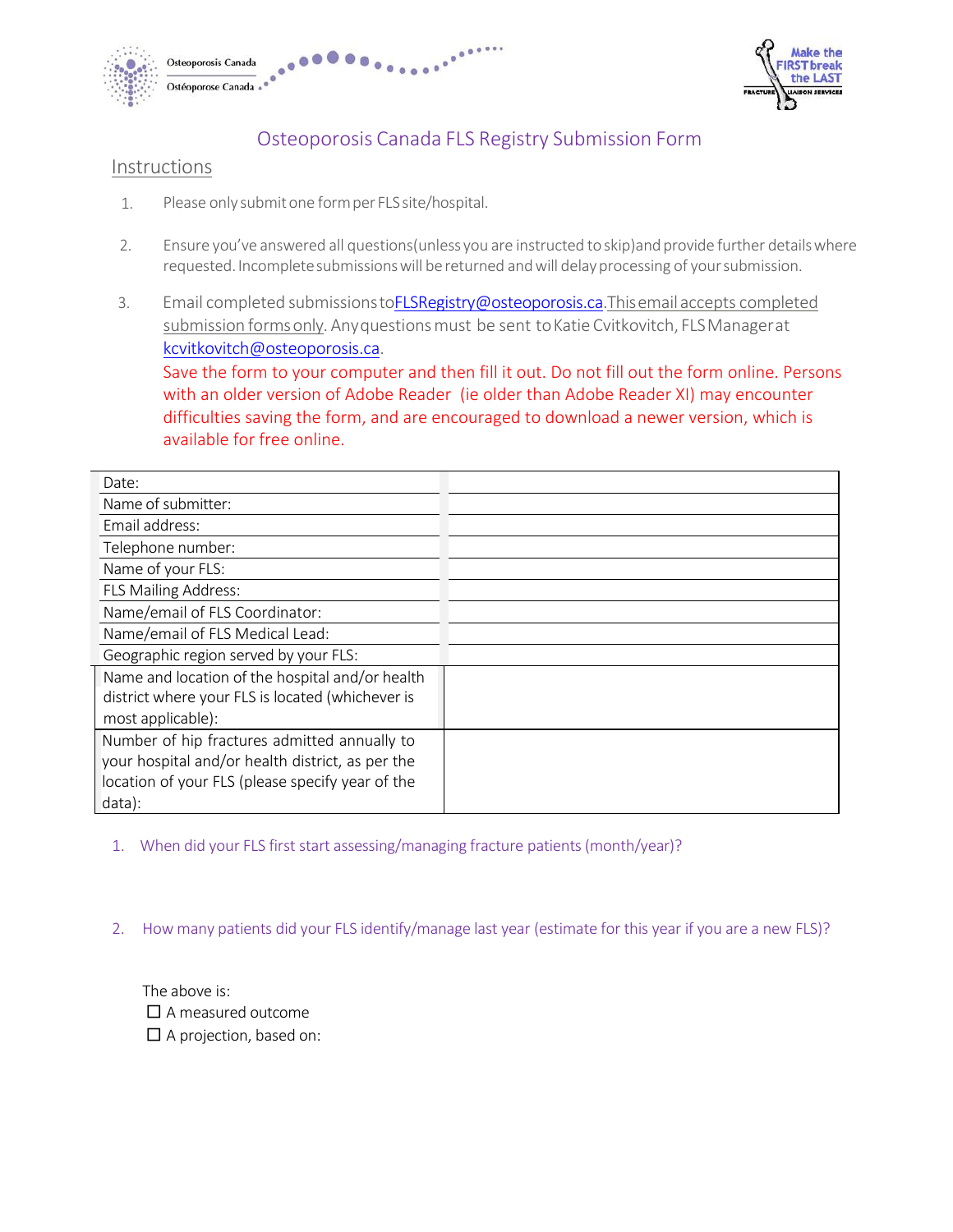



# Osteoporosis Canada FLS Registry Submission Form

## Instructions

- 1. Please only submit one form per FLS site/hospital.
- 2. Ensure you've answered all questions(unless you are instructed to skip)and provide further details where requested. Incomplete submissions will be returned and will delay processing of your submission.
- 3. Email completed submission[s toFLSRegistry@osteoporosis.ca.This e](mailto:toFLSRegistry@osteoporosis.ca.This)mail accepts completed submission forms only. Any questions must be sent to Katie Cvitkovitch, FLS Manager at [kcvitkovitch@osteoporosis.ca.](mailto:kcvitkovitch@osteoporosis.ca)

Save the form to your computer and then fill it out. Do not fill out the form online. Persons with an older version of Adobe Reader (ie older than Adobe Reader XI) may encounte[r](mailto:lwilliamson@osteoporosis.ca) [difficulties saving the form, and are encouraged to download a newer version,](mailto:lwilliamson@osteoporosis.ca) which is available for free online.

| Date:                                            |  |
|--------------------------------------------------|--|
| Name of submitter:                               |  |
| Email address:                                   |  |
| Telephone number:                                |  |
| Name of your FLS:                                |  |
| <b>FLS Mailing Address:</b>                      |  |
| Name/email of FLS Coordinator:                   |  |
| Name/email of FLS Medical Lead:                  |  |
| Geographic region served by your FLS:            |  |
| Name and location of the hospital and/or health  |  |
| district where your FLS is located (whichever is |  |
| most applicable):                                |  |
| Number of hip fractures admitted annually to     |  |
| your hospital and/or health district, as per the |  |
| location of your FLS (please specify year of the |  |
| data):                                           |  |

1. When did your FLS first start assessing/managing fracture patients (month/year)?

2. How many patients did your FLS identify/manage last year (estimate for this year if you are a new FLS)?

The above is:  $\square$  A measured outcome □ A projection, based on: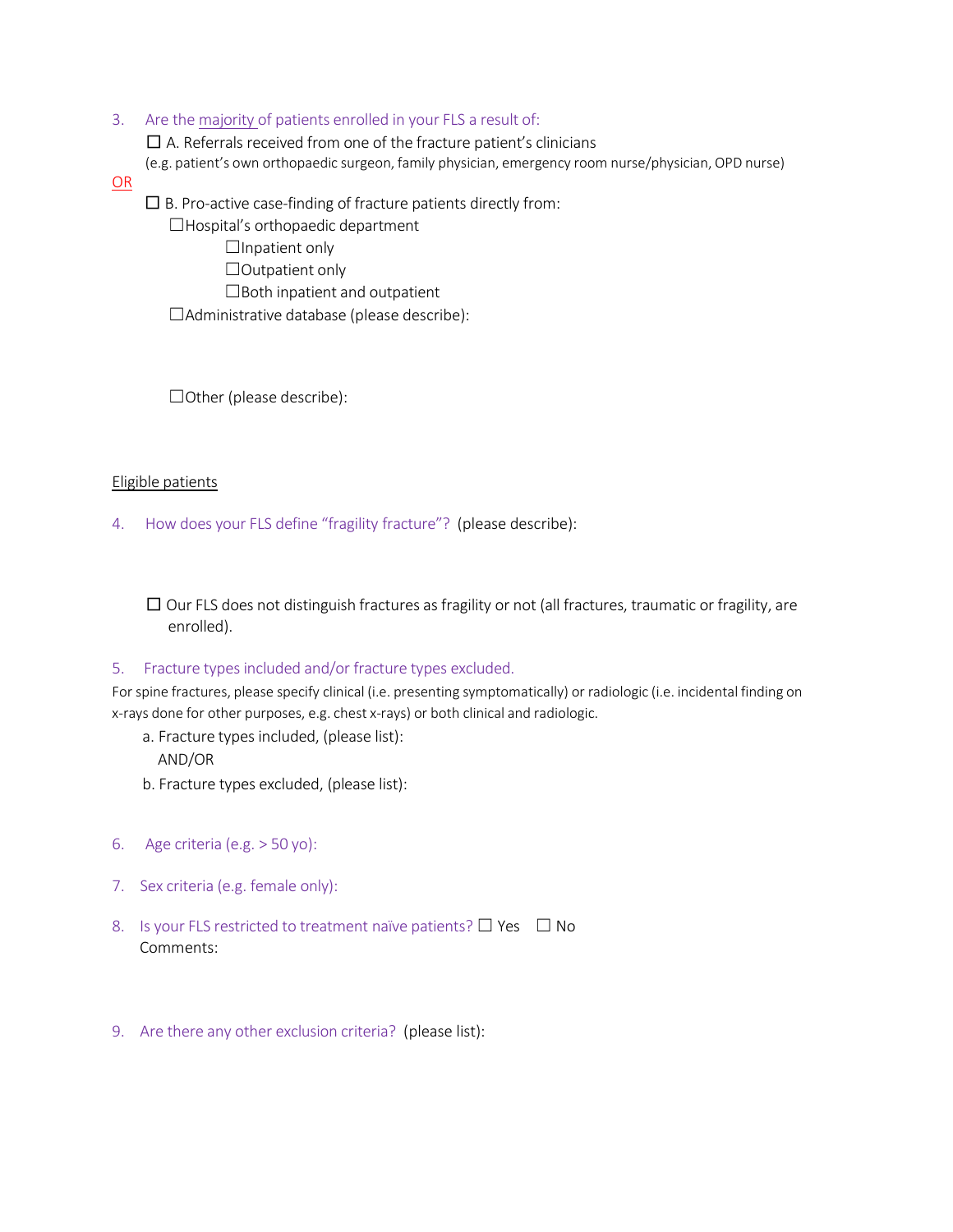## 3. Are the majority of patients enrolled in your FLS a result of:

 $\square$  A. Referrals received from one of the fracture patient's clinicians

(e.g. patient's own orthopaedic surgeon, family physician, emergency room nurse/physician, OPD nurse)

#### OR

 $\square$  B. Pro-active case-finding of fracture patients directly from:

☐Hospital's orthopaedic department

 $\Box$ Inpatient only

□Outpatient only

☐Both inpatient and outpatient

☐Administrative database (please describe):

☐Other (please describe):

#### Eligible patients

4. How does your FLS define "fragility fracture"? (please describe):

 $\square$  Our FLS does not distinguish fractures as fragility or not (all fractures, traumatic or fragility, are enrolled).

#### 5. Fracture types included and/or fracture types excluded.

For spine fractures, please specify clinical (i.e. presenting symptomatically) or radiologic (i.e. incidental finding on x-rays done for other purposes, e.g. chest x-rays) or both clinical and radiologic.

- a. Fracture types included, (please list): AND/OR
- b. Fracture types excluded, (please list):
- 6. Age criteria (e.g. > 50 yo):
- 7. Sex criteria (e.g. female only):
- 8. Is your FLS restricted to treatment naïve patients?  $\Box$  Yes  $\Box$  No Comments:
- 9. Are there any other exclusion criteria? (please list):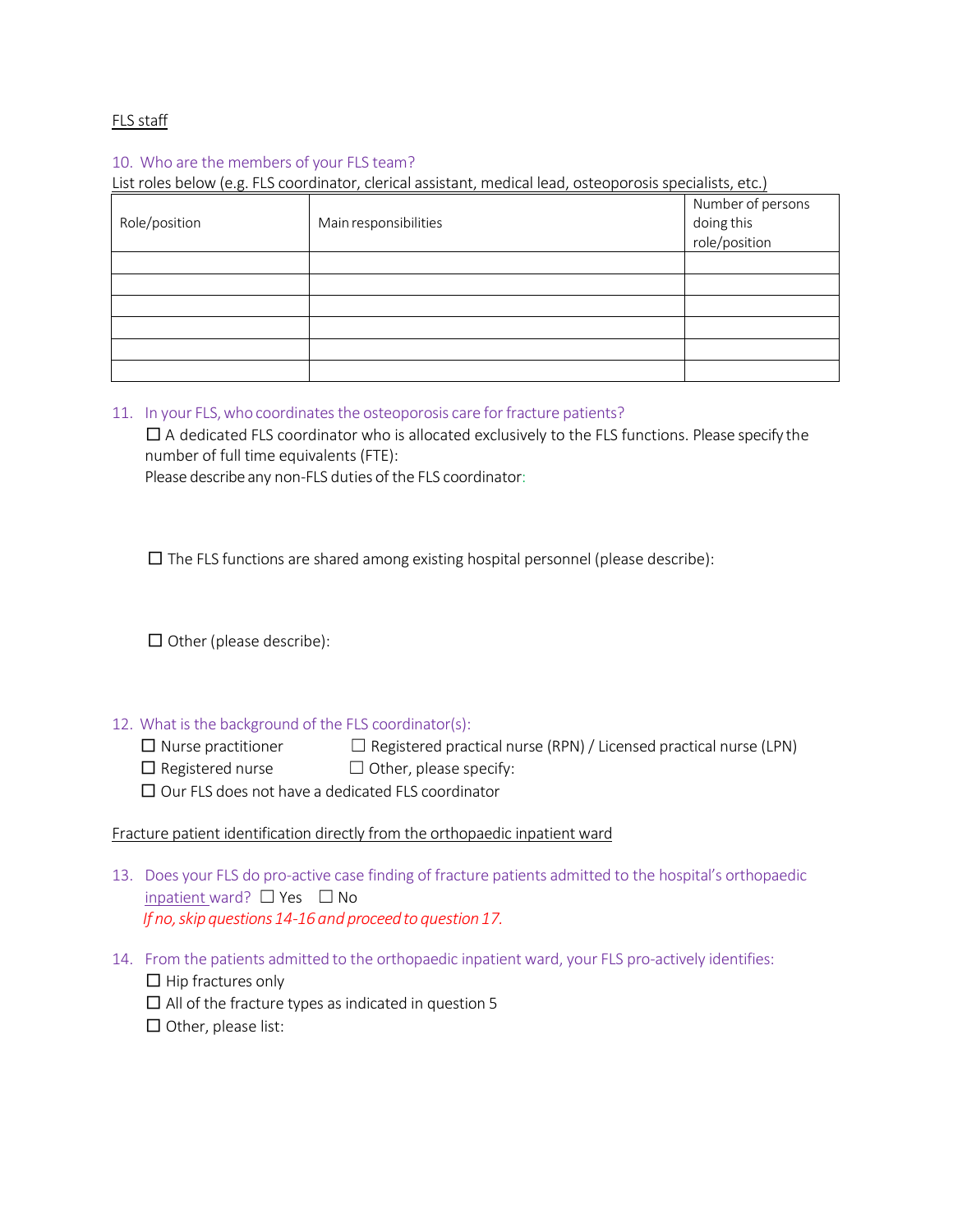## FLS staff

## 10. Who are the members of your FLS team?

List roles below (e.g. FLS coordinator, clerical assistant, medical lead, osteoporosis specialists, etc.)

| Role/position | Main responsibilities | Number of persons<br>doing this<br>role/position |
|---------------|-----------------------|--------------------------------------------------|
|               |                       |                                                  |
|               |                       |                                                  |
|               |                       |                                                  |
|               |                       |                                                  |
|               |                       |                                                  |
|               |                       |                                                  |

#### 11. In your FLS, who coordinates the osteoporosis care for fracture patients?

 $\square$  A dedicated FLS coordinator who is allocated exclusively to the FLS functions. Please specify the number of full time equivalents (FTE):

Please describe any non-FLS duties of the FLS coordinator:

 $\square$  The FLS functions are shared among existing hospital personnel (please describe):

 $\square$  Other (please describe):

#### 12. What is the background of the FLS coordinator(s):

 $\Box$  Nurse practitioner  $\Box$  Registered practical nurse (RPN) / Licensed practical nurse (LPN)

 $\Box$  Registered nurse  $\Box$  Other, please specify:

 $\Box$  Our FLS does not have a dedicated FLS coordinator

#### Fracture patient identification directly from the orthopaedic inpatient ward

- 13. Does your FLS do pro-active case finding of fracture patients admitted to the hospital's orthopaedic inpatient ward? ☐ Yes ☐ No *If no, skip questions 14-16 and proceed to question 17.*
- 14. From the patients admitted to the orthopaedic inpatient ward, your FLS pro-actively identifies:

 $\Box$  Hip fractures only

- $\square$  All of the fracture types as indicated in question 5
- □ Other, please list: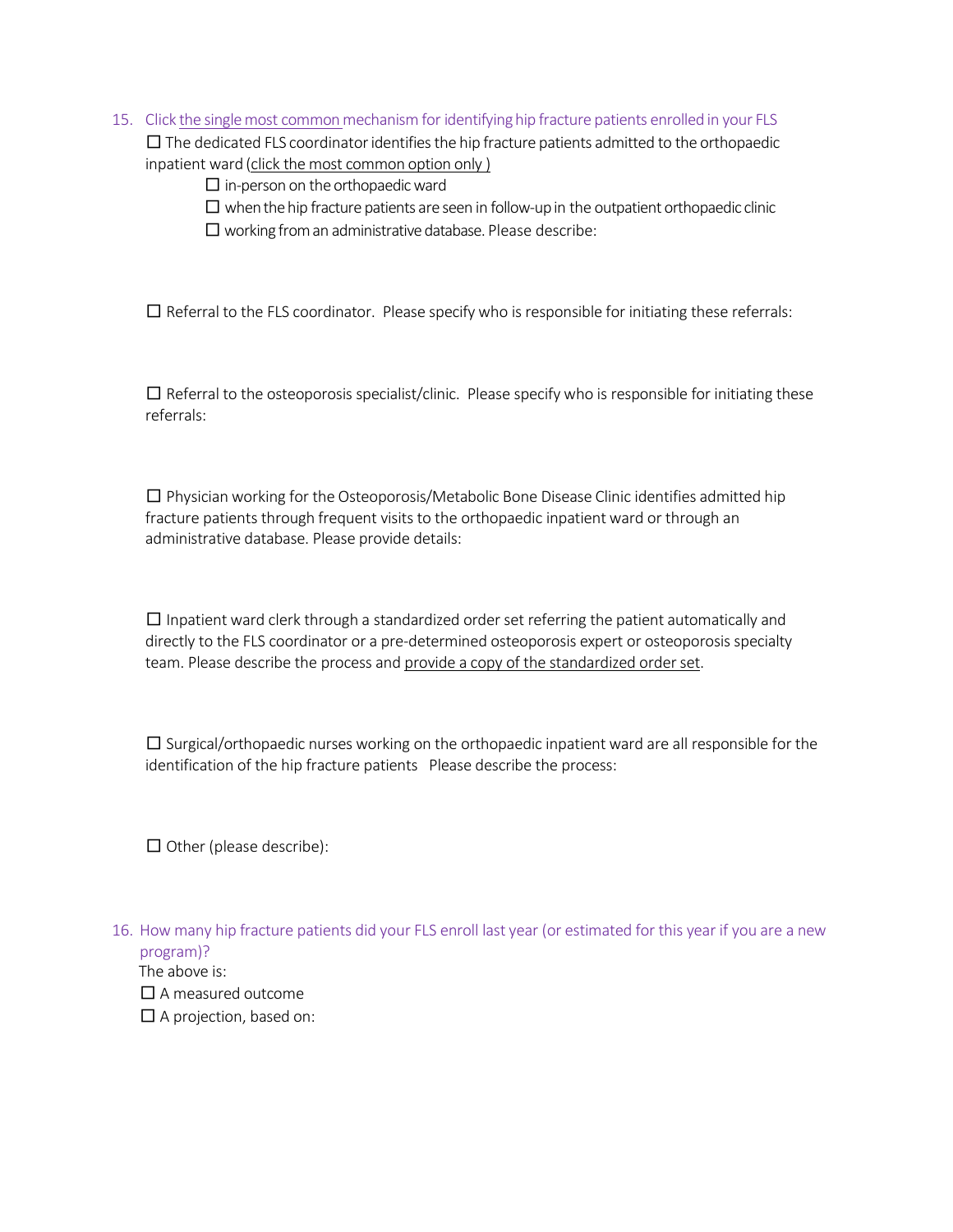15. Click the single most common mechanism for identifying hip fracture patients enrolled in your FLS

 $\square$  The dedicated FLS coordinator identifies the hip fracture patients admitted to the orthopaedic inpatient ward (click the most common option only )

 $\square$  in-person on the orthopaedic ward

- $\square$  when the hip fracture patients are seen in follow-up in the outpatient orthopaedic clinic
- $\square$  working from an administrative database. Please describe:

 $\square$  Referral to the FLS coordinator. Please specify who is responsible for initiating these referrals:

 $\square$  Referral to the osteoporosis specialist/clinic. Please specify who is responsible for initiating these referrals:

 $\square$  Physician working for the Osteoporosis/Metabolic Bone Disease Clinic identifies admitted hip fracture patients through frequent visits to the orthopaedic inpatient ward or through an administrative database. Please provide details:

 $\square$  Inpatient ward clerk through a standardized order set referring the patient automatically and directly to the FLS coordinator or a pre-determined osteoporosis expert or osteoporosis specialty team. Please describe the process and provide a copy of the standardized order set.

 $\square$  Surgical/orthopaedic nurses working on the orthopaedic inpatient ward are all responsible for the identification of the hip fracture patients Please describe the process:

 $\square$  Other (please describe):

16. How many hip fracture patients did your FLS enroll last year (or estimated for this year if you are a new program)?

The above is: □ A measured outcome  $\square$  A projection, based on: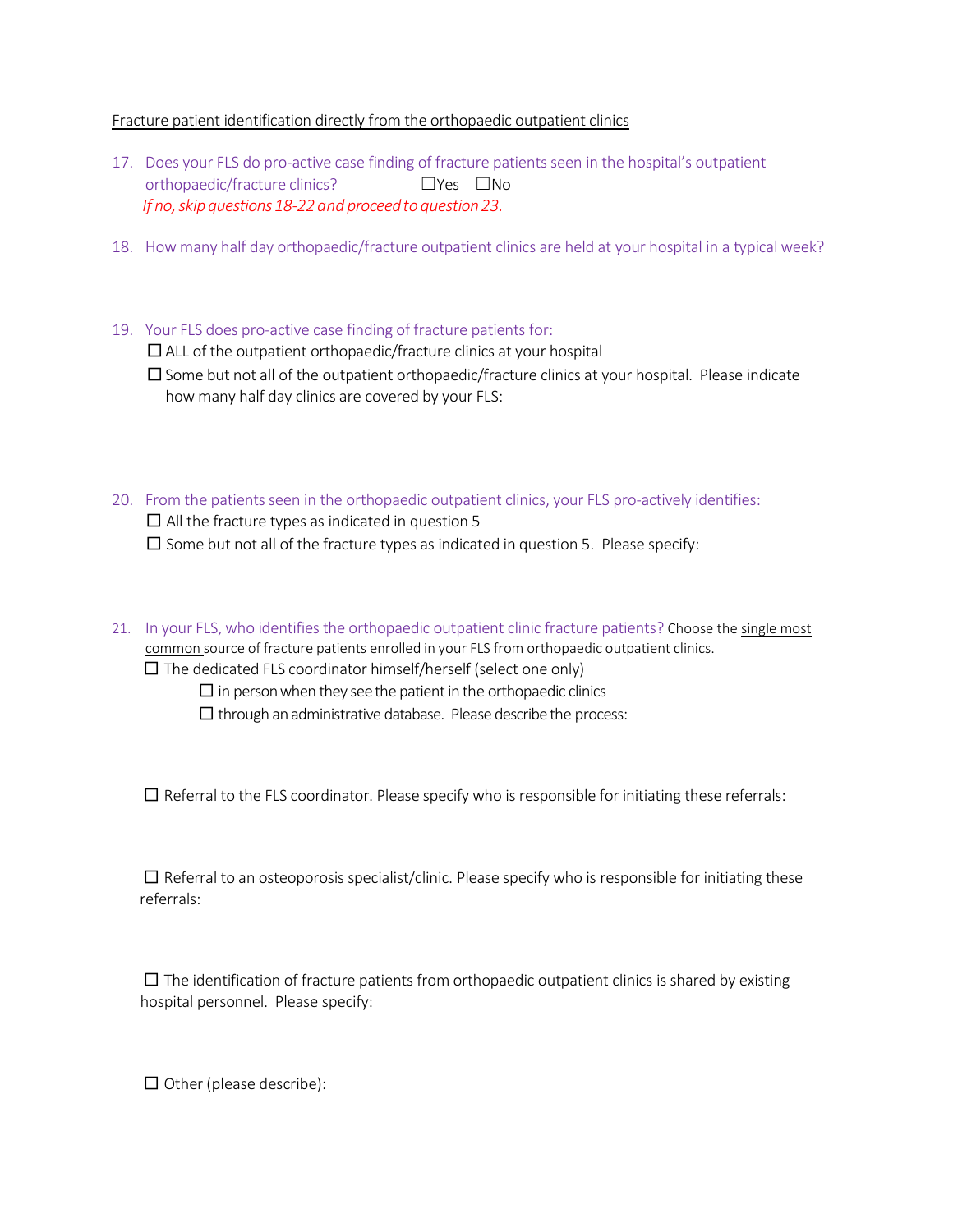## Fracture patient identification directly from the orthopaedic outpatient clinics

- 17. Does your FLS do pro-active case finding of fracture patients seen in the hospital's outpatient orthopaedic/fracture clinics? ☐Yes ☐No *If no, skip questions 18-22 and proceed to question 23.*
- 18. How many half day orthopaedic/fracture outpatient clinics are held at your hospital in a typical week?
- 19. Your FLS does pro-active case finding of fracture patients for:

 $\square$  ALL of the outpatient orthopaedic/fracture clinics at your hospital

 $\square$  Some but not all of the outpatient orthopaedic/fracture clinics at your hospital. Please indicate how many half day clinics are covered by your FLS:

- 20. From the patients seen in the orthopaedic outpatient clinics, your FLS pro-actively identifies:  $\square$  All the fracture types as indicated in question 5  $\square$  Some but not all of the fracture types as indicated in question 5. Please specify:
- 21. In your FLS, who identifies the orthopaedic outpatient clinic fracture patients? Choose the single most common source of fracture patients enrolled in your FLS from orthopaedic outpatient clinics.  $\square$  The dedicated FLS coordinator himself/herself (select one only)

 $\square$  in person when they see the patient in the orthopaedic clinics

 $\square$  through an administrative database. Please describe the process:

 $\square$  Referral to the FLS coordinator. Please specify who is responsible for initiating these referrals:

 $\square$  Referral to an osteoporosis specialist/clinic. Please specify who is responsible for initiating these referrals:

 $\square$  The identification of fracture patients from orthopaedic outpatient clinics is shared by existing hospital personnel. Please specify:

 $\Box$  Other (please describe):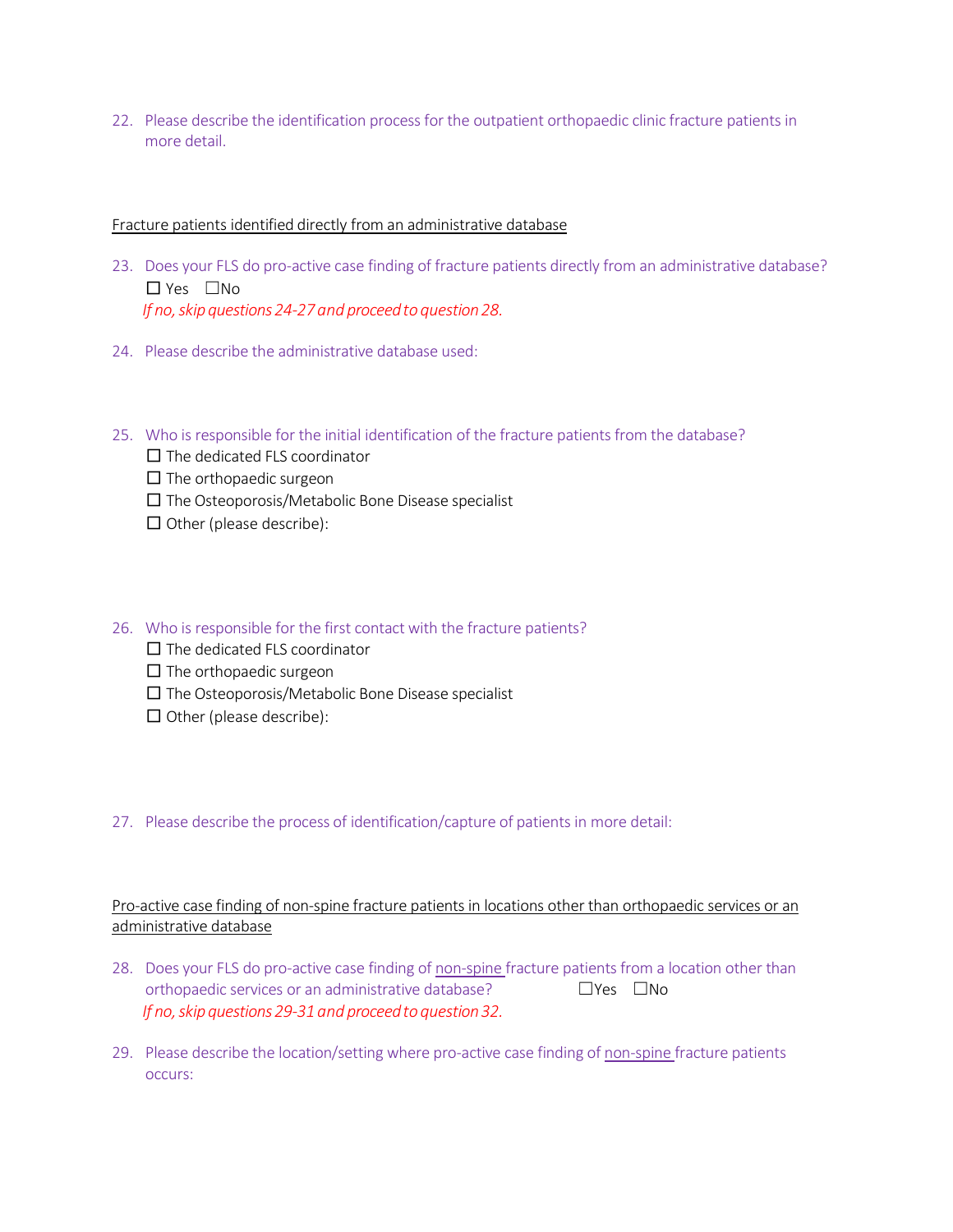22. Please describe the identification process for the outpatient orthopaedic clinic fracture patients in more detail.

#### Fracture patients identified directly from an administrative database

- 23. Does your FLS do pro-active case finding of fracture patients directly from an administrative database? □ Yes ☐No *If no, skip questions 24-27 and proceed to question 28.*
- 24. Please describe the administrative database used:
- 25. Who is responsible for the initial identification of the fracture patients from the database?
	- $\square$  The dedicated FLS coordinator
	- $\square$  The orthopaedic surgeon
	- $\square$  The Osteoporosis/Metabolic Bone Disease specialist
	- $\square$  Other (please describe):

## 26. Who is responsible for the first contact with the fracture patients?

- $\square$  The dedicated FLS coordinator
- $\square$  The orthopaedic surgeon
- $\square$  The Osteoporosis/Metabolic Bone Disease specialist
- $\square$  Other (please describe):

## 27. Please describe the process of identification/capture of patients in more detail:

## Pro-active case finding of non-spine fracture patients in locations other than orthopaedic services or an administrative database

- 28. Does your FLS do pro-active case finding of non-spine fracture patients from a location other than orthopaedic services or an administrative database? □Yes □No *If no, skip questions 29-31 and proceed to question 32.*
- 29. Please describe the location/setting where pro-active case finding of non-spine fracture patients occurs: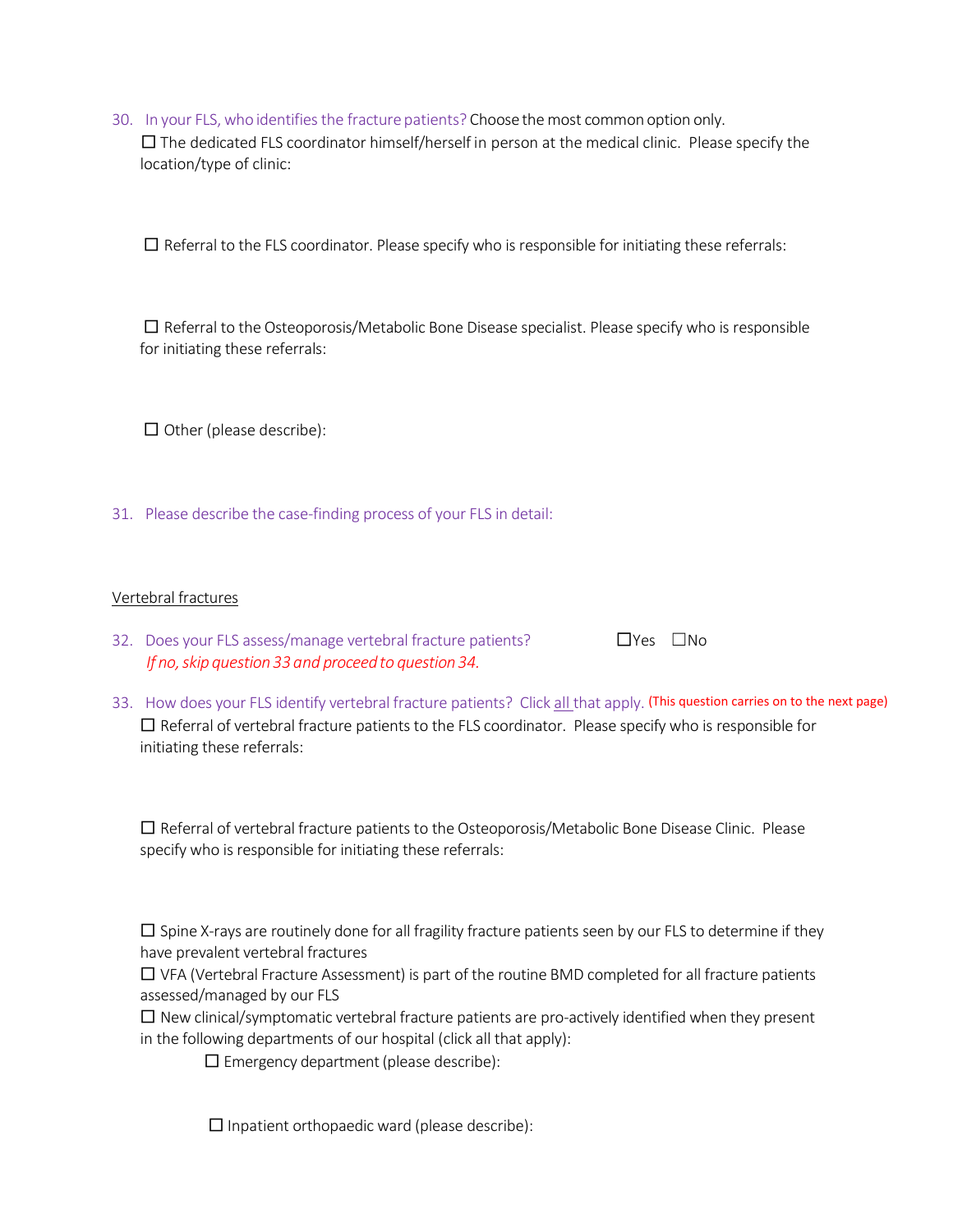30. In your FLS, who identifies the fracture patients? Choose the most common option only.  $\square$  The dedicated FLS coordinator himself/herself in person at the medical clinic. Please specify the location/type of clinic:

 $\square$  Referral to the FLS coordinator. Please specify who is responsible for initiating these referrals:

 $\square$  Referral to the Osteoporosis/Metabolic Bone Disease specialist. Please specify who is responsible for initiating these referrals:

 $\Box$  Other (please describe):

31. Please describe the case-finding process of your FLS in detail:

#### Vertebral fractures

- 32. Does your FLS assess/manage vertebral fracture patients? □ □ Pes □No *If no, skip question 33 and proceed to question 34.*
- 33. How does your FLS identify vertebral fracture patients? Click all that apply. (This question carries on to the next page)  $\square$  Referral of vertebral fracture patients to the FLS coordinator. Please specify who is responsible for initiating these referrals:

 $\square$  Referral of vertebral fracture patients to the Osteoporosis/Metabolic Bone Disease Clinic. Please specify who is responsible for initiating these referrals:

 $\square$  Spine X-rays are routinely done for all fragility fracture patients seen by our FLS to determine if they have prevalent vertebral fractures

 $\square$  VFA (Vertebral Fracture Assessment) is part of the routine BMD completed for all fracture patients assessed/managed by our FLS

 $\square$  New clinical/symptomatic vertebral fracture patients are pro-actively identified when they present in the following departments of our hospital (click all that apply):

 $\square$  Emergency department (please describe):

 $\square$  Inpatient orthopaedic ward (please describe):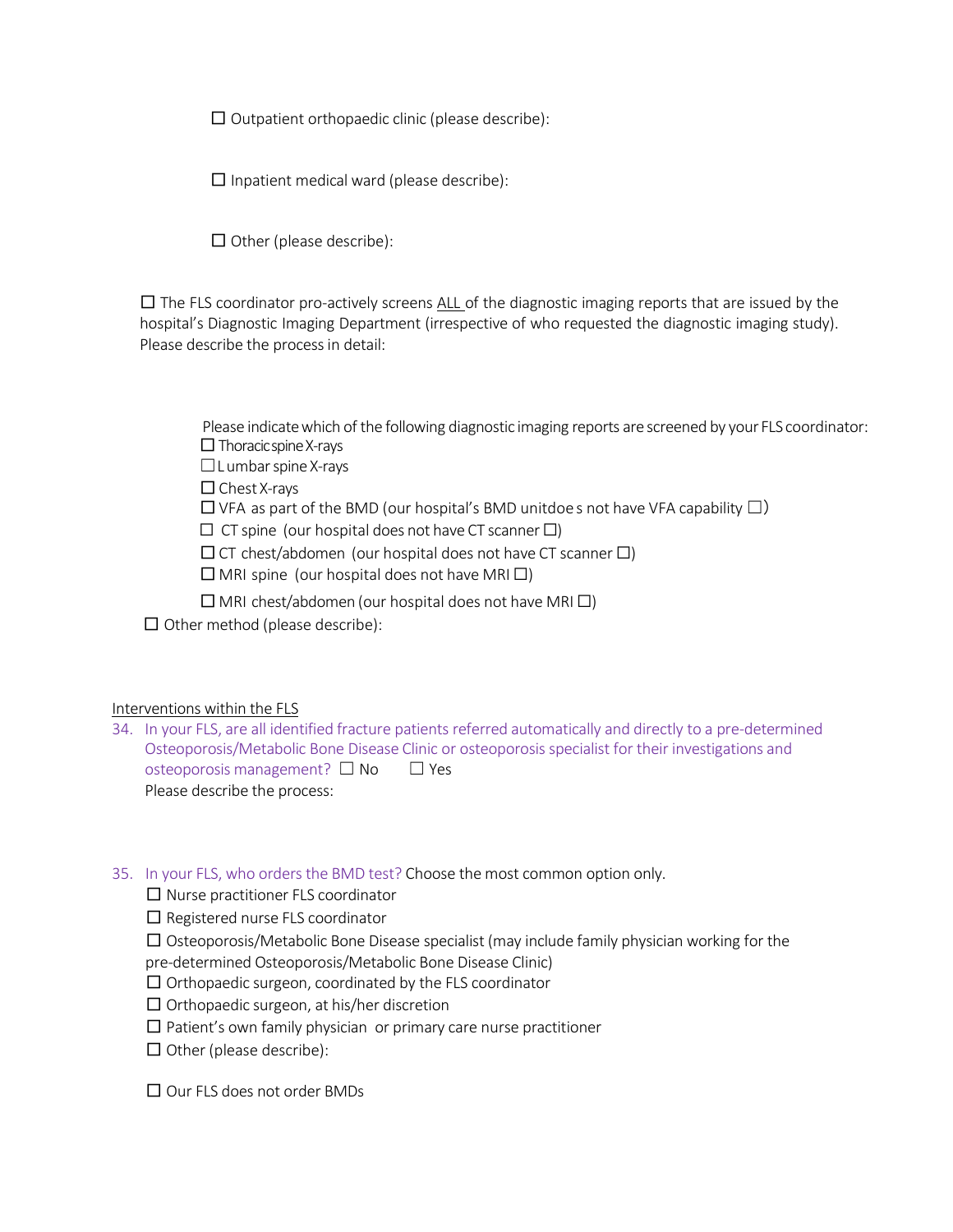$\square$  Outpatient orthopaedic clinic (please describe):

 $\square$  Inpatient medical ward (please describe):

 $\square$  Other (please describe):

 $\square$  The FLS coordinator pro-actively screens ALL of the diagnostic imaging reports that are issued by the hospital's Diagnostic Imaging Department (irrespective of who requested the diagnostic imaging study). Please describe the process in detail:

Please indicate which of the following diagnostic imaging reports are screened by your FLS coordinator:  $\Box$  Thoracic spine X-rays

☐L umbar spine X-rays

□Chest X-rays

 $\Box$  VFA as part of the BMD (our hospital's BMD unitdoes not have VFA capability  $\Box$ )

**☐** CT spine (our hospital does not have CT scanner **☐**)

□CT chest/abdomen (our hospital does not have CT scanner **☐**)

□MRI spine (our hospital does not have MRI **☐**)

□MRI chest/abdomen (our hospital does not have MRI **☐**)

 $\Box$  Other method (please describe):

#### Interventions within the FLS

34. In your FLS, are all identified fracture patients referred automatically and directly to a pre-determined Osteoporosis/Metabolic Bone Disease Clinic or osteoporosis specialist for their investigations and osteoporosis management? □ No □ Yes Please describe the process:

## 35. In your FLS, who orders the BMD test? Choose the most common option only.

 $\square$  Nurse practitioner FLS coordinator

 $\square$  Registered nurse FLS coordinator

 $\square$  Osteoporosis/Metabolic Bone Disease specialist (may include family physician working for the pre-determined Osteoporosis/Metabolic Bone Disease Clinic)

 $\Box$  Orthopaedic surgeon, coordinated by the FLS coordinator

- $\square$  Orthopaedic surgeon, at his/her discretion
- $\square$  Patient's own family physician or primary care nurse practitioner
- $\Box$  Other (please describe):

□ Our FLS does not order BMDs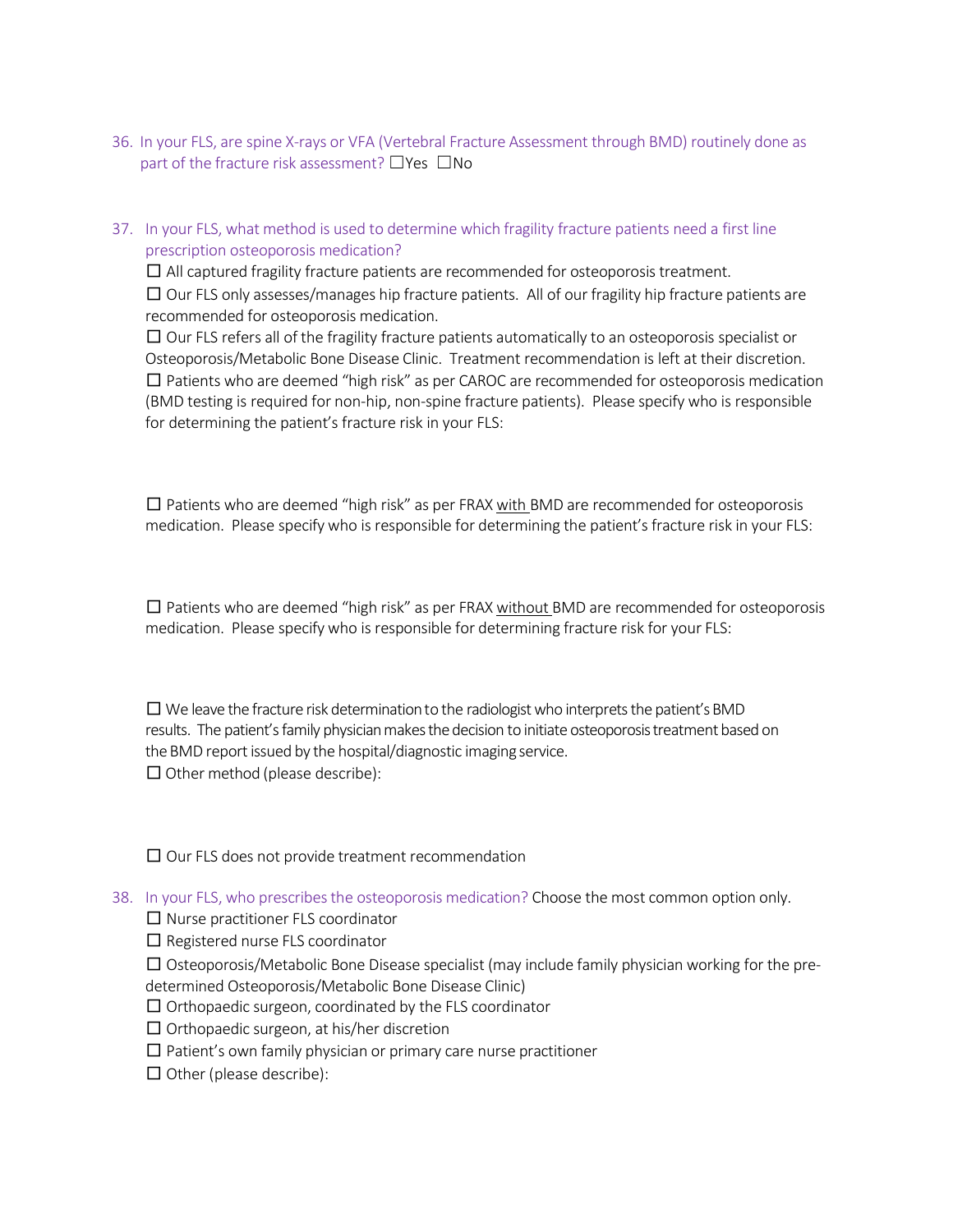- 36. In your FLS, are spine X-rays or VFA (Vertebral Fracture Assessment through BMD) routinely done as part of the fracture risk assessment? □Yes □No
- 37. In your FLS, what method is used to determine which fragility fracture patients need a first line prescription osteoporosis medication?

 $\square$  All captured fragility fracture patients are recommended for osteoporosis treatment.

 $\square$  Our FLS only assesses/manages hip fracture patients. All of our fragility hip fracture patients are recommended for osteoporosis medication.

 $\square$  Our FLS refers all of the fragility fracture patients automatically to an osteoporosis specialist or Osteoporosis/Metabolic Bone Disease Clinic. Treatment recommendation is left at their discretion.  $\square$  Patients who are deemed "high risk" as per CAROC are recommended for osteoporosis medication (BMD testing is required for non-hip, non-spine fracture patients). Please specify who is responsible for determining the patient's fracture risk in your FLS:

 $\square$  Patients who are deemed "high risk" as per FRAX with BMD are recommended for osteoporosis medication. Please specify who is responsible for determining the patient's fracture risk in your FLS:

 $\square$  Patients who are deemed "high risk" as per FRAX without BMD are recommended for osteoporosis medication. Please specify who is responsible for determining fracture risk for your FLS:

 $\square$  We leave the fracture risk determination to the radiologist who interprets the patient's BMD results. The patient's family physician makes the decision to initiate osteoporosis treatment based on the BMD report issued by the hospital/diagnostic imaging service.  $\Box$  Other method (please describe):

 $\square$  Our FLS does not provide treatment recommendation

38. In your FLS, who prescribes the osteoporosis medication? Choose the most common option only.

 $\square$  Nurse practitioner FLS coordinator

 $\square$  Registered nurse FLS coordinator

 $\square$  Osteoporosis/Metabolic Bone Disease specialist (may include family physician working for the predetermined Osteoporosis/Metabolic Bone Disease Clinic)

 $\square$  Orthopaedic surgeon, coordinated by the FLS coordinator

 $\square$  Orthopaedic surgeon, at his/her discretion

 $\square$  Patient's own family physician or primary care nurse practitioner

 $\square$  Other (please describe):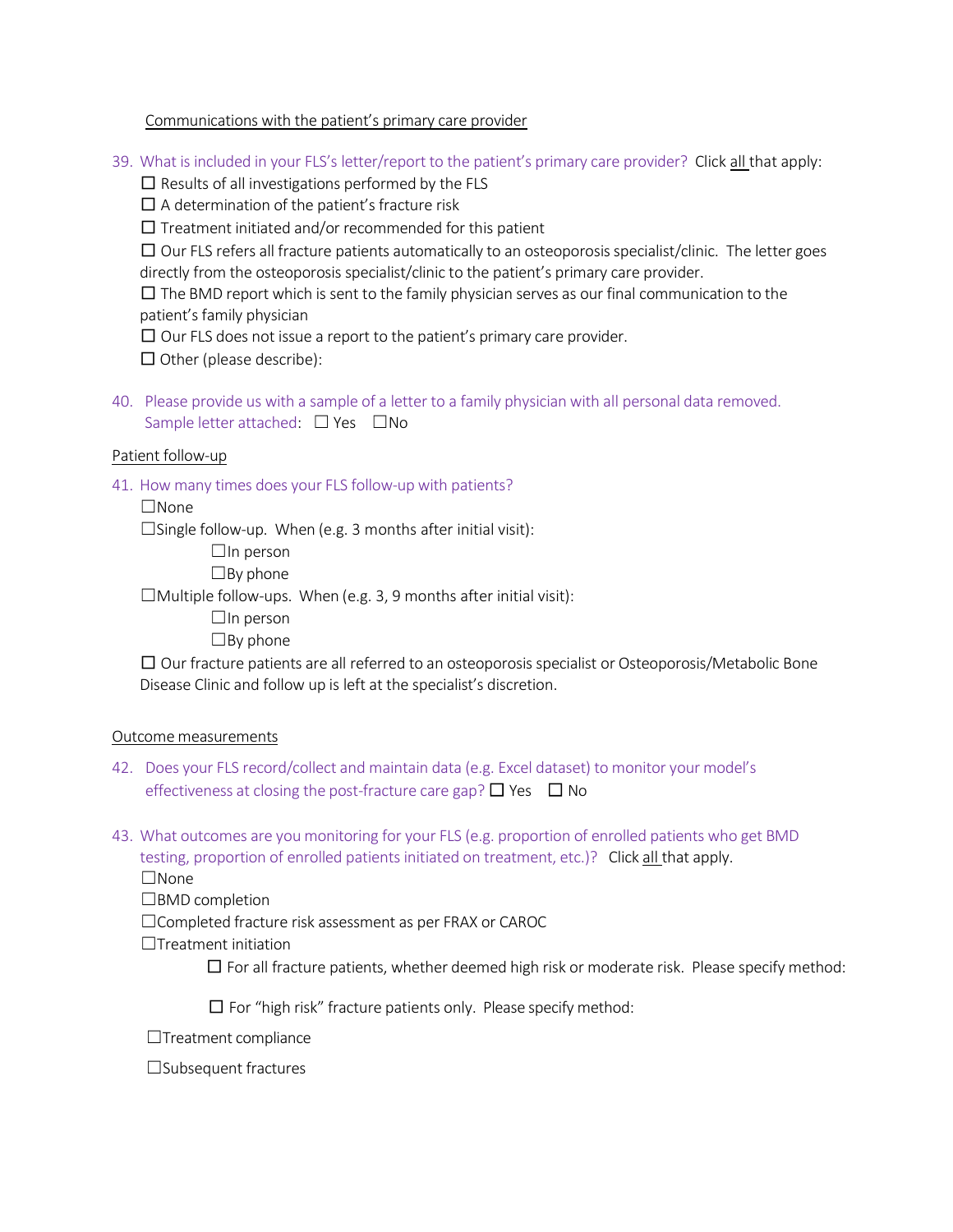## Communications with the patient's primary care provider

39. What is included in your FLS's letter/report to the patient's primary care provider? Click all that apply:

 $\square$  Results of all investigations performed by the FLS

 $\square$  A determination of the patient's fracture risk

 $\square$  Treatment initiated and/or recommended for this patient

 $\square$  Our FLS refers all fracture patients automatically to an osteoporosis specialist/clinic. The letter goes directly from the osteoporosis specialist/clinic to the patient's primary care provider.

 $\square$  The BMD report which is sent to the family physician serves as our final communication to the patient's family physician

 $\Box$  Our FLS does not issue a report to the patient's primary care provider.

 $\Box$  Other (please describe):

40. Please provide us with a sample of a letter to a family physician with all personal data removed. Sample letter attached: □ Yes □No

## Patient follow-up

41. How many times does your FLS follow-up with patients?

☐None

 $\square$ Single follow-up. When (e.g. 3 months after initial visit):

 $\Box$ In person

 $\square$ By phone

 $\Box$ Multiple follow-ups. When (e.g. 3, 9 months after initial visit):

 $\Box$ In person

 $\Box$ By phone

 $\square$  Our fracture patients are all referred to an osteoporosis specialist or Osteoporosis/Metabolic Bone Disease Clinic and follow up is left at the specialist's discretion.

## Outcome measurements

- 42. Does your FLS record/collect and maintain data (e.g. Excel dataset) to monitor your model's effectiveness at closing the post-fracture care gap?  $\Box$  Yes  $\Box$  No
- 43. What outcomes are you monitoring for your FLS (e.g. proportion of enrolled patients who get BMD testing, proportion of enrolled patients initiated on treatment, etc.)? Click all that apply.

☐None

☐BMD completion

☐Completed fracture risk assessment as per FRAX or CAROC

 $\Box$ Treatment initiation

 $\square$  For all fracture patients, whether deemed high risk or moderate risk. Please specify method:

 $\square$  For "high risk" fracture patients only. Please specify method:

☐Treatment compliance

☐Subsequent fractures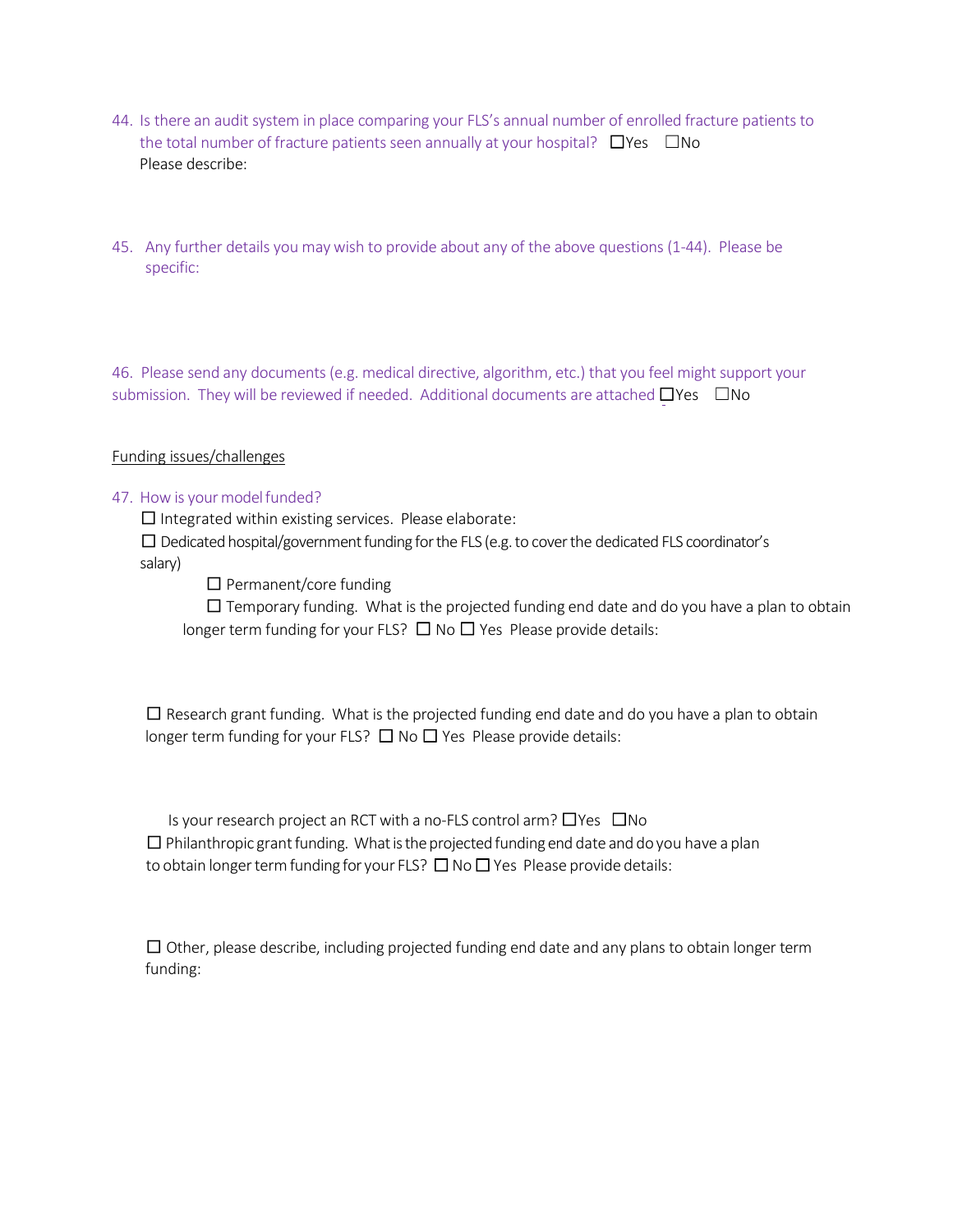- 44. Is there an audit system in place comparing your FLS's annual number of enrolled fracture patients to the total number of fracture patients seen annually at your hospital?  $\square$ Yes  $\square$ No Please describe:
- 45. Any further details you may wish to provide about any of the above questions (1-44). Please be specific:

46. Please send any documents (e.g. medical directive, algorithm, etc.) that you feel might support your submission. They will be reviewed if needed. Additional documents are attached  $□Yes$   $□No$ 

## Funding issues/challenges

## 47. How is your model funded?

 $\square$  Integrated within existing services. Please elaborate:

 $\square$  Dedicated hospital/government funding for the FLS (e.g. to cover the dedicated FLS coordinator's salary)

 $\square$  Permanent/core funding

 $\square$  Temporary funding. What is the projected funding end date and do you have a plan to obtain longer term funding for your FLS?  $\Box$  No  $\Box$  Yes Please provide details:

 $\square$  Research grant funding. What is the projected funding end date and do you have a plan to obtain longer term funding for your FLS?  $\Box$  No  $\Box$  Yes Please provide details:

Is your research project an RCT with a no-FLS control arm? ☐Yes ☐No  $\square$  Philanthropic grant funding. What is the projected funding end date and do you have a plan to obtain longer term funding for your FLS?  $\Box$  No  $\Box$  Yes Please provide details:

 $\square$  Other, please describe, including projected funding end date and any plans to obtain longer term funding: